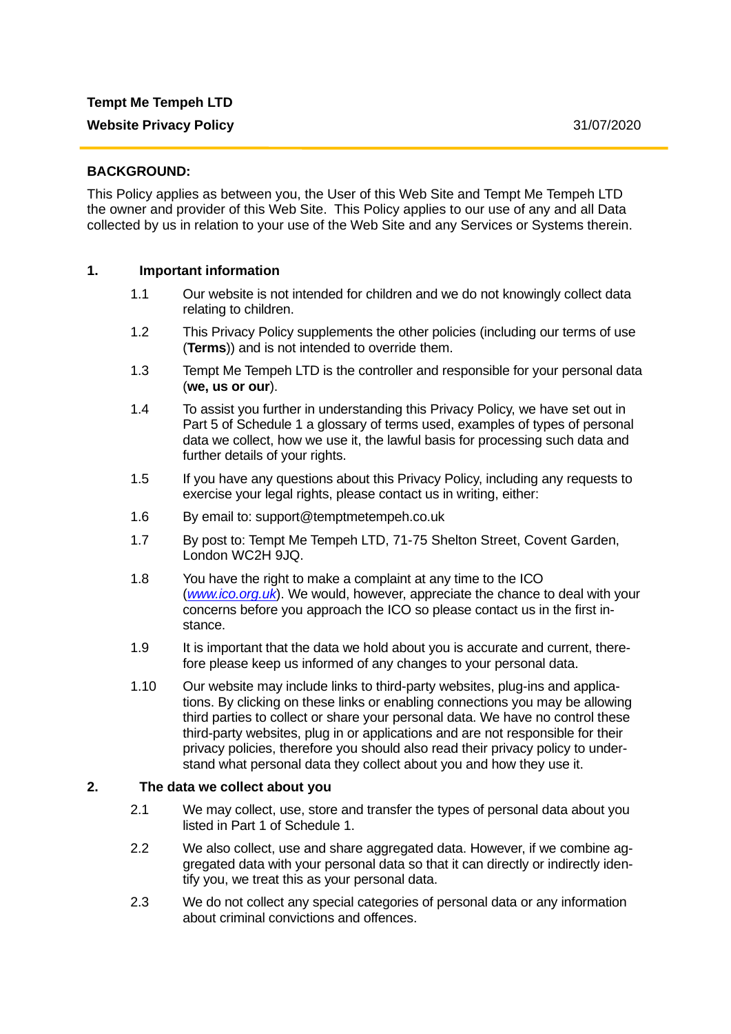## **BACKGROUND:**

This Policy applies as between you, the User of this Web Site and Tempt Me Tempeh LTD the owner and provider of this Web Site. This Policy applies to our use of any and all Data collected by us in relation to your use of the Web Site and any Services or Systems therein.

#### **1. Important information**

- 1.1 Our website is not intended for children and we do not knowingly collect data relating to children.
- 1.2 This Privacy Policy supplements the other policies (including our terms of use (**Terms**)) and is not intended to override them.
- 1.3 Tempt Me Tempeh LTD is the controller and responsible for your personal data (**we, us or our**).
- 1.4 To assist you further in understanding this Privacy Policy, we have set out in Part 5 of Schedule 1 a glossary of terms used, examples of types of personal data we collect, how we use it, the lawful basis for processing such data and further details of your rights.
- 1.5 If you have any questions about this Privacy Policy, including any requests to exercise your legal rights, please contact us in writing, either:
- 1.6 By email to: support@temptmetempeh.co.uk
- 1.7 By post to: Tempt Me Tempeh LTD, 71-75 Shelton Street, Covent Garden, London WC2H 9JQ.
- 1.8 You have the right to make a complaint at any time to the ICO (*www.ico.org.uk*). We would, however, appreciate the chance to deal with your concerns before you approach the ICO so please contact us in the first instance.
- 1.9 It is important that the data we hold about you is accurate and current, therefore please keep us informed of any changes to your personal data.
- 1.10 Our website may include links to third-party websites, plug-ins and applications. By clicking on these links or enabling connections you may be allowing third parties to collect or share your personal data. We have no control these third-party websites, plug in or applications and are not responsible for their privacy policies, therefore you should also read their privacy policy to understand what personal data they collect about you and how they use it.

## **2. The data we collect about you**

- 2.1 We may collect, use, store and transfer the types of personal data about you listed in Part 1 of Schedule 1.
- 2.2 We also collect, use and share aggregated data. However, if we combine aggregated data with your personal data so that it can directly or indirectly identify you, we treat this as your personal data.
- 2.3 We do not collect any special categories of personal data or any information about criminal convictions and offences.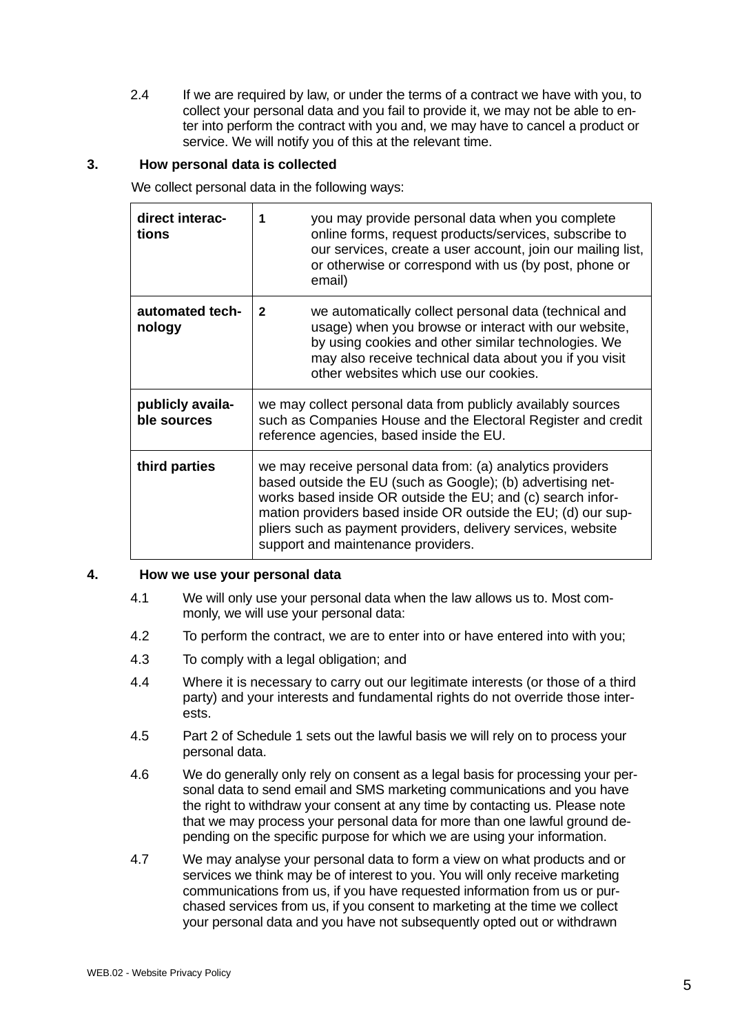2.4 If we are required by law, or under the terms of a contract we have with you, to collect your personal data and you fail to provide it, we may not be able to enter into perform the contract with you and, we may have to cancel a product or service. We will notify you of this at the relevant time.

# **3. How personal data is collected**

We collect personal data in the following ways:

| direct interac-<br>tions        | you may provide personal data when you complete<br>1<br>online forms, request products/services, subscribe to<br>our services, create a user account, join our mailing list,<br>or otherwise or correspond with us (by post, phone or<br>email)                                                                                                                 |
|---------------------------------|-----------------------------------------------------------------------------------------------------------------------------------------------------------------------------------------------------------------------------------------------------------------------------------------------------------------------------------------------------------------|
| automated tech-<br>nology       | we automatically collect personal data (technical and<br>$\mathbf{2}$<br>usage) when you browse or interact with our website,<br>by using cookies and other similar technologies. We<br>may also receive technical data about you if you visit<br>other websites which use our cookies.                                                                         |
| publicly availa-<br>ble sources | we may collect personal data from publicly availably sources<br>such as Companies House and the Electoral Register and credit<br>reference agencies, based inside the EU.                                                                                                                                                                                       |
| third parties                   | we may receive personal data from: (a) analytics providers<br>based outside the EU (such as Google); (b) advertising net-<br>works based inside OR outside the EU; and (c) search infor-<br>mation providers based inside OR outside the EU; (d) our sup-<br>pliers such as payment providers, delivery services, website<br>support and maintenance providers. |

## **4. How we use your personal data**

- 4.1 We will only use your personal data when the law allows us to. Most commonly, we will use your personal data:
- 4.2 To perform the contract, we are to enter into or have entered into with you;
- 4.3 To comply with a legal obligation; and
- 4.4 Where it is necessary to carry out our legitimate interests (or those of a third party) and your interests and fundamental rights do not override those interests.
- 4.5 Part 2 of Schedule 1 sets out the lawful basis we will rely on to process your personal data.
- 4.6 We do generally only rely on consent as a legal basis for processing your personal data to send email and SMS marketing communications and you have the right to withdraw your consent at any time by contacting us. Please note that we may process your personal data for more than one lawful ground depending on the specific purpose for which we are using your information.
- 4.7 We may analyse your personal data to form a view on what products and or services we think may be of interest to you. You will only receive marketing communications from us, if you have requested information from us or purchased services from us, if you consent to marketing at the time we collect your personal data and you have not subsequently opted out or withdrawn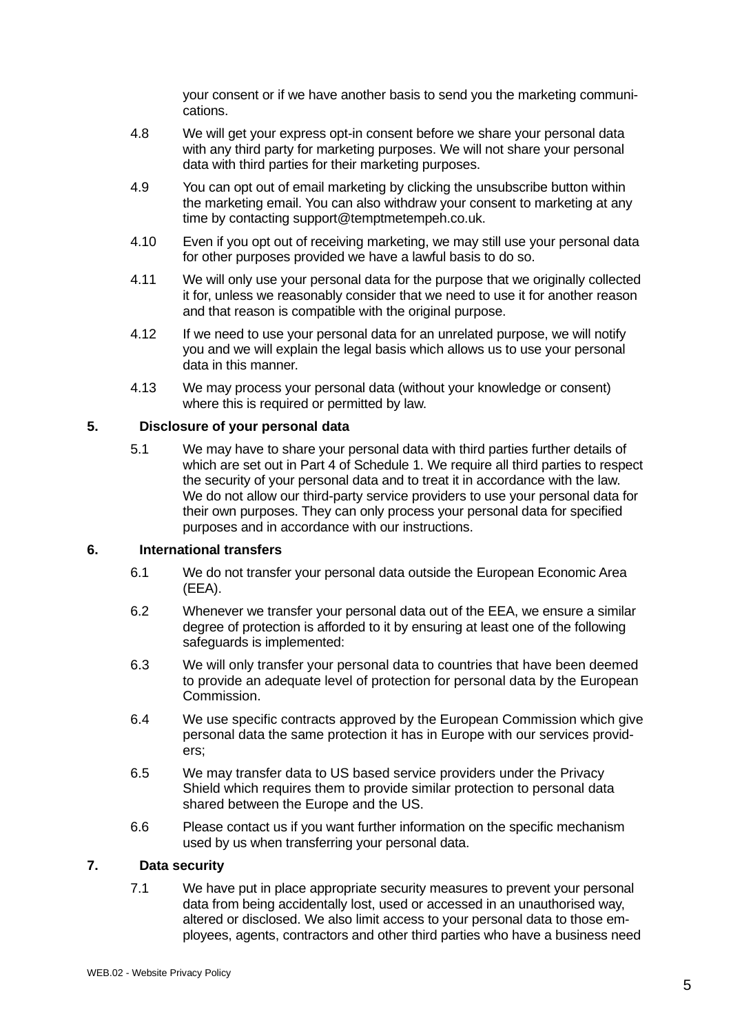your consent or if we have another basis to send you the marketing communications.

- 4.8 We will get your express opt-in consent before we share your personal data with any third party for marketing purposes. We will not share your personal data with third parties for their marketing purposes.
- 4.9 You can opt out of email marketing by clicking the unsubscribe button within the marketing email. You can also withdraw your consent to marketing at any time by contacting support@temptmetempeh.co.uk.
- 4.10 Even if you opt out of receiving marketing, we may still use your personal data for other purposes provided we have a lawful basis to do so.
- 4.11 We will only use your personal data for the purpose that we originally collected it for, unless we reasonably consider that we need to use it for another reason and that reason is compatible with the original purpose.
- 4.12 If we need to use your personal data for an unrelated purpose, we will notify you and we will explain the legal basis which allows us to use your personal data in this manner.
- 4.13 We may process your personal data (without your knowledge or consent) where this is required or permitted by law.

## **5. Disclosure of your personal data**

5.1 We may have to share your personal data with third parties further details of which are set out in Part 4 of Schedule 1. We require all third parties to respect the security of your personal data and to treat it in accordance with the law. We do not allow our third-party service providers to use your personal data for their own purposes. They can only process your personal data for specified purposes and in accordance with our instructions.

#### **6. International transfers**

- 6.1 We do not transfer your personal data outside the European Economic Area (EEA).
- 6.2 Whenever we transfer your personal data out of the EEA, we ensure a similar degree of protection is afforded to it by ensuring at least one of the following safeguards is implemented:
- 6.3 We will only transfer your personal data to countries that have been deemed to provide an adequate level of protection for personal data by the European Commission.
- 6.4 We use specific contracts approved by the European Commission which give personal data the same protection it has in Europe with our services providers;
- 6.5 We may transfer data to US based service providers under the Privacy Shield which requires them to provide similar protection to personal data shared between the Europe and the US.
- 6.6 Please contact us if you want further information on the specific mechanism used by us when transferring your personal data.

## **7. Data security**

7.1 We have put in place appropriate security measures to prevent your personal data from being accidentally lost, used or accessed in an unauthorised way, altered or disclosed. We also limit access to your personal data to those employees, agents, contractors and other third parties who have a business need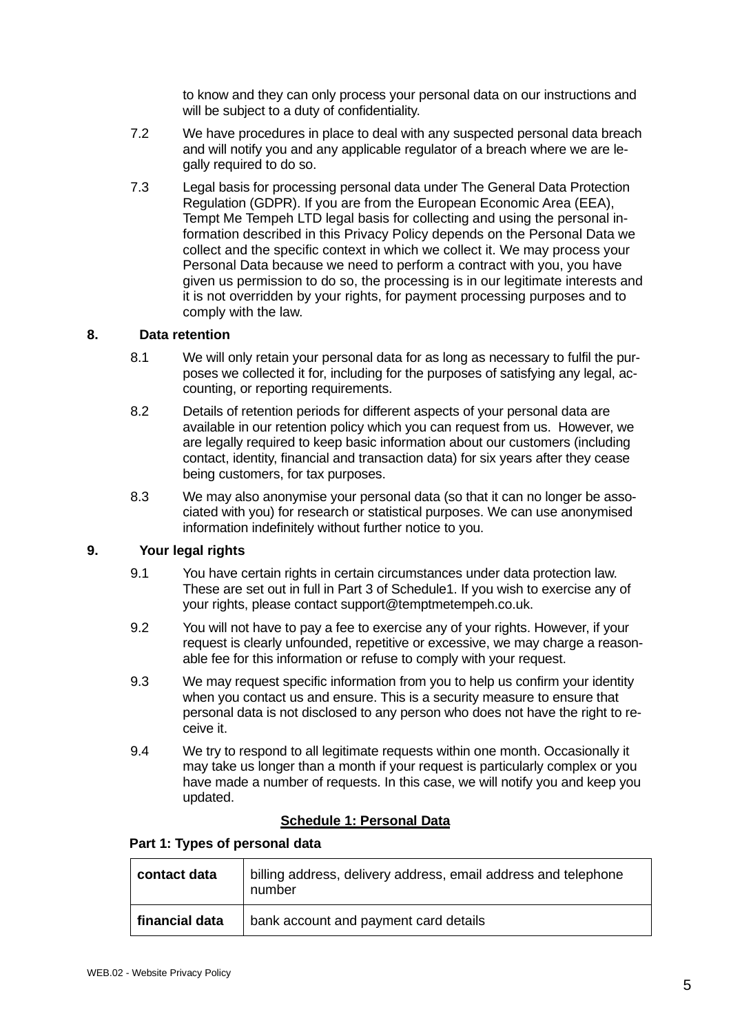to know and they can only process your personal data on our instructions and will be subject to a duty of confidentiality.

- 7.2 We have procedures in place to deal with any suspected personal data breach and will notify you and any applicable regulator of a breach where we are legally required to do so.
- 7.3 Legal basis for processing personal data under The General Data Protection Regulation (GDPR). If you are from the European Economic Area (EEA), Tempt Me Tempeh LTD legal basis for collecting and using the personal information described in this Privacy Policy depends on the Personal Data we collect and the specific context in which we collect it. We may process your Personal Data because we need to perform a contract with you, you have given us permission to do so, the processing is in our legitimate interests and it is not overridden by your rights, for payment processing purposes and to comply with the law.

#### **8. Data retention**

- 8.1 We will only retain your personal data for as long as necessary to fulfil the purposes we collected it for, including for the purposes of satisfying any legal, accounting, or reporting requirements.
- 8.2 Details of retention periods for different aspects of your personal data are available in our retention policy which you can request from us. However, we are legally required to keep basic information about our customers (including contact, identity, financial and transaction data) for six years after they cease being customers, for tax purposes.
- 8.3 We may also anonymise your personal data (so that it can no longer be associated with you) for research or statistical purposes. We can use anonymised information indefinitely without further notice to you.

## **9. Your legal rights**

- 9.1 You have certain rights in certain circumstances under data protection law. These are set out in full in Part 3 of Schedule1. If you wish to exercise any of your rights, please contact support@temptmetempeh.co.uk.
- 9.2 You will not have to pay a fee to exercise any of your rights. However, if your request is clearly unfounded, repetitive or excessive, we may charge a reasonable fee for this information or refuse to comply with your request.
- 9.3 We may request specific information from you to help us confirm your identity when you contact us and ensure. This is a security measure to ensure that personal data is not disclosed to any person who does not have the right to receive it.
- 9.4 We try to respond to all legitimate requests within one month. Occasionally it may take us longer than a month if your request is particularly complex or you have made a number of requests. In this case, we will notify you and keep you updated.

#### **Schedule 1: Personal Data**

#### **Part 1: Types of personal data**

| contact data   | billing address, delivery address, email address and telephone<br>number |
|----------------|--------------------------------------------------------------------------|
| financial data | bank account and payment card details                                    |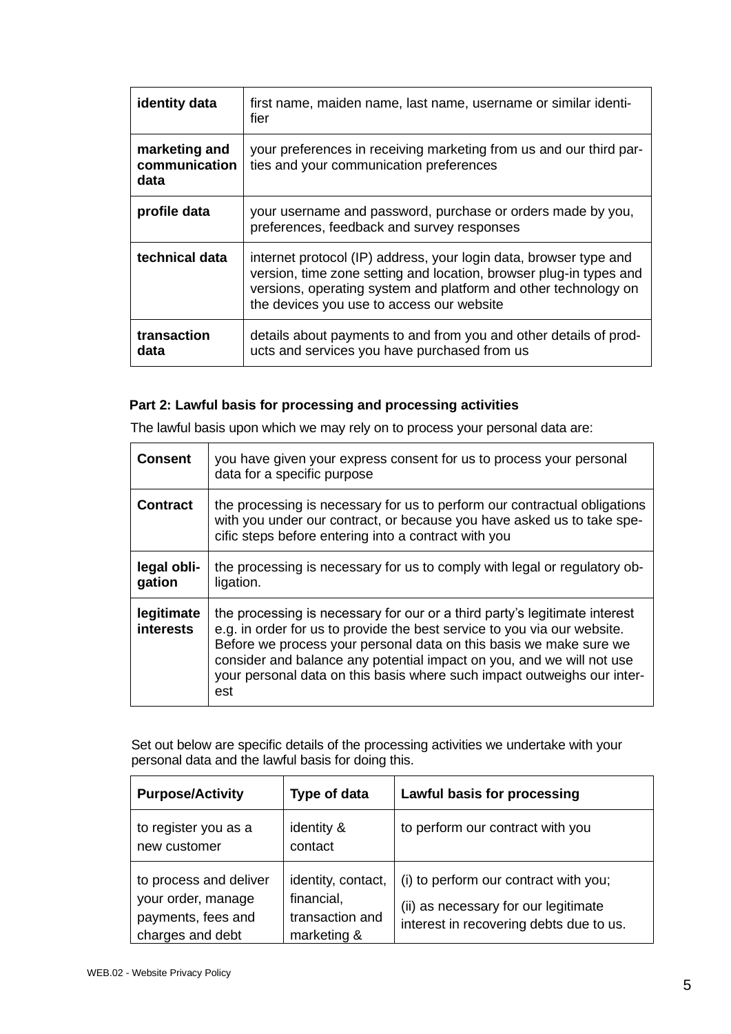| identity data                          | first name, maiden name, last name, username or similar identi-<br>fier                                                                                                                                                                                 |
|----------------------------------------|---------------------------------------------------------------------------------------------------------------------------------------------------------------------------------------------------------------------------------------------------------|
| marketing and<br>communication<br>data | your preferences in receiving marketing from us and our third par-<br>ties and your communication preferences                                                                                                                                           |
| profile data                           | your username and password, purchase or orders made by you,<br>preferences, feedback and survey responses                                                                                                                                               |
| technical data                         | internet protocol (IP) address, your login data, browser type and<br>version, time zone setting and location, browser plug-in types and<br>versions, operating system and platform and other technology on<br>the devices you use to access our website |
| transaction<br>data                    | details about payments to and from you and other details of prod-<br>ucts and services you have purchased from us                                                                                                                                       |

# **Part 2: Lawful basis for processing and processing activities**

The lawful basis upon which we may rely on to process your personal data are:

| <b>Consent</b>                 | you have given your express consent for us to process your personal<br>data for a specific purpose                                                                                                                                                                                                                                                                                      |
|--------------------------------|-----------------------------------------------------------------------------------------------------------------------------------------------------------------------------------------------------------------------------------------------------------------------------------------------------------------------------------------------------------------------------------------|
| <b>Contract</b>                | the processing is necessary for us to perform our contractual obligations<br>with you under our contract, or because you have asked us to take spe-<br>cific steps before entering into a contract with you                                                                                                                                                                             |
| legal obli-<br>gation          | the processing is necessary for us to comply with legal or regulatory ob-<br>ligation.                                                                                                                                                                                                                                                                                                  |
| legitimate<br><b>interests</b> | the processing is necessary for our or a third party's legitimate interest<br>e.g. in order for us to provide the best service to you via our website.<br>Before we process your personal data on this basis we make sure we<br>consider and balance any potential impact on you, and we will not use<br>your personal data on this basis where such impact outweighs our inter-<br>est |

Set out below are specific details of the processing activities we undertake with your personal data and the lawful basis for doing this.

| <b>Purpose/Activity</b>                                                                | Type of data                                                       | Lawful basis for processing                                                                                              |
|----------------------------------------------------------------------------------------|--------------------------------------------------------------------|--------------------------------------------------------------------------------------------------------------------------|
| to register you as a<br>new customer                                                   | identity &<br>contact                                              | to perform our contract with you                                                                                         |
| to process and deliver<br>your order, manage<br>payments, fees and<br>charges and debt | identity, contact,<br>financial,<br>transaction and<br>marketing & | (i) to perform our contract with you;<br>(ii) as necessary for our legitimate<br>interest in recovering debts due to us. |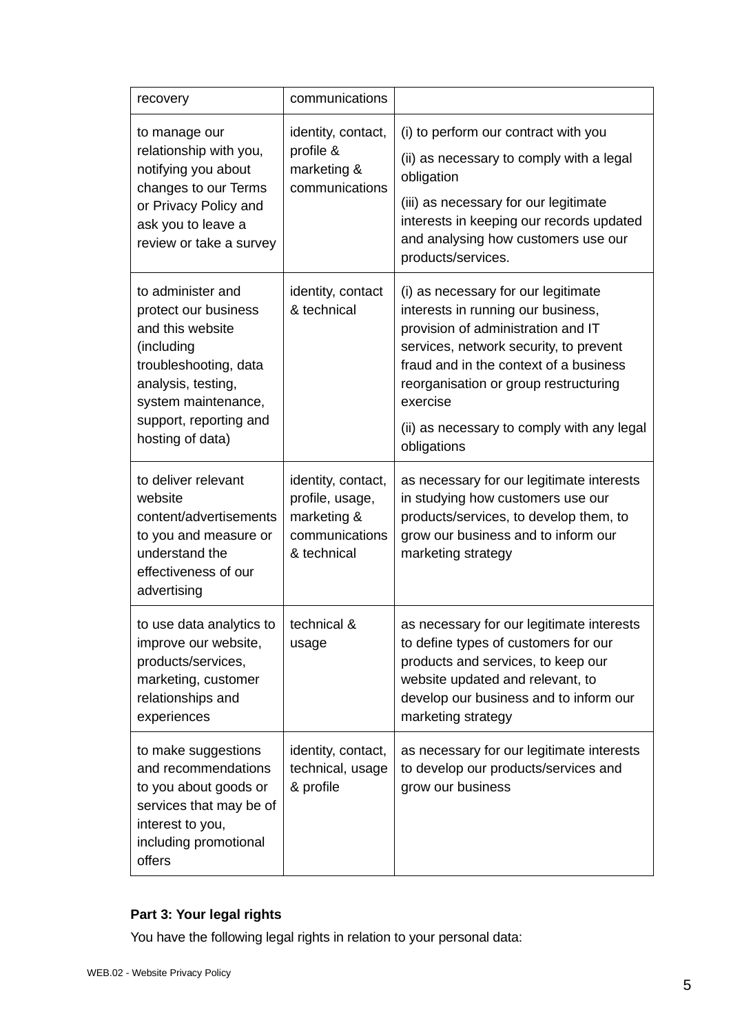| recovery                                                                                                                                                                                        | communications                                                                        |                                                                                                                                                                                                                                                                                                                       |
|-------------------------------------------------------------------------------------------------------------------------------------------------------------------------------------------------|---------------------------------------------------------------------------------------|-----------------------------------------------------------------------------------------------------------------------------------------------------------------------------------------------------------------------------------------------------------------------------------------------------------------------|
| to manage our<br>relationship with you,<br>notifying you about<br>changes to our Terms<br>or Privacy Policy and<br>ask you to leave a<br>review or take a survey                                | identity, contact,<br>profile &<br>marketing &<br>communications                      | (i) to perform our contract with you<br>(ii) as necessary to comply with a legal<br>obligation<br>(iii) as necessary for our legitimate<br>interests in keeping our records updated<br>and analysing how customers use our<br>products/services.                                                                      |
| to administer and<br>protect our business<br>and this website<br>(including<br>troubleshooting, data<br>analysis, testing,<br>system maintenance,<br>support, reporting and<br>hosting of data) | identity, contact<br>& technical                                                      | (i) as necessary for our legitimate<br>interests in running our business,<br>provision of administration and IT<br>services, network security, to prevent<br>fraud and in the context of a business<br>reorganisation or group restructuring<br>exercise<br>(ii) as necessary to comply with any legal<br>obligations |
| to deliver relevant<br>website<br>content/advertisements<br>to you and measure or<br>understand the<br>effectiveness of our<br>advertising                                                      | identity, contact,<br>profile, usage,<br>marketing &<br>communications<br>& technical | as necessary for our legitimate interests<br>in studying how customers use our<br>products/services, to develop them, to<br>grow our business and to inform our<br>marketing strategy                                                                                                                                 |
| to use data analytics to<br>improve our website,<br>products/services,<br>marketing, customer<br>relationships and<br>experiences                                                               | technical &<br>usage                                                                  | as necessary for our legitimate interests<br>to define types of customers for our<br>products and services, to keep our<br>website updated and relevant, to<br>develop our business and to inform our<br>marketing strategy                                                                                           |
| to make suggestions<br>and recommendations<br>to you about goods or<br>services that may be of<br>interest to you,<br>including promotional<br>offers                                           | identity, contact,<br>technical, usage<br>& profile                                   | as necessary for our legitimate interests<br>to develop our products/services and<br>grow our business                                                                                                                                                                                                                |

# **Part 3: Your legal rights**

You have the following legal rights in relation to your personal data: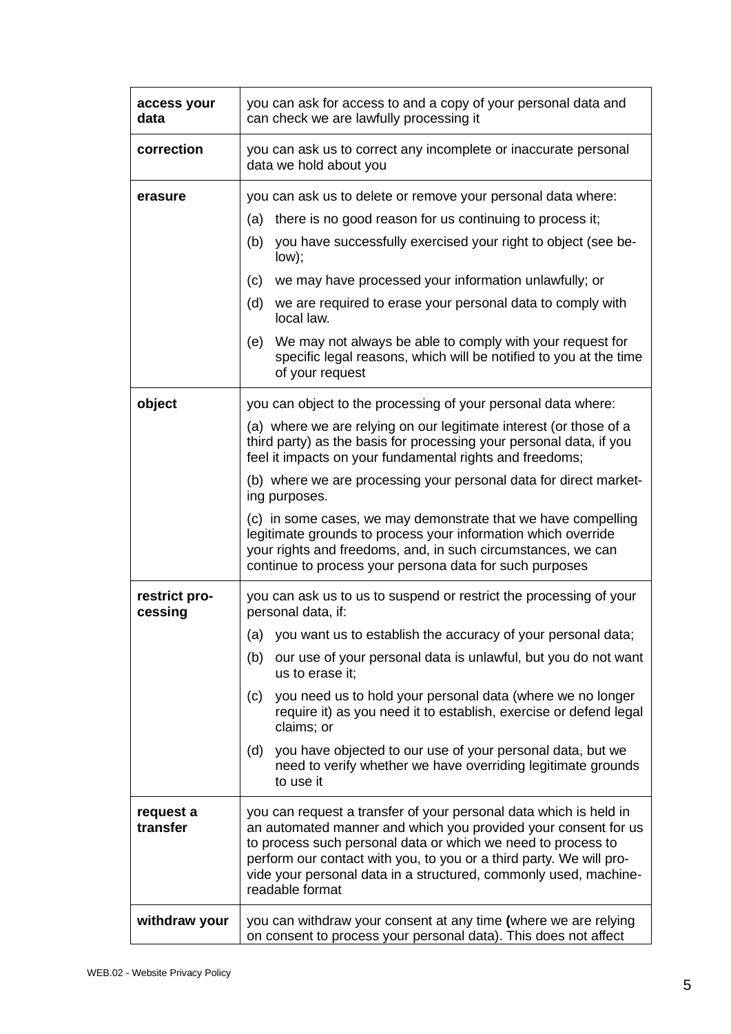| access your<br>data      | you can ask for access to and a copy of your personal data and<br>can check we are lawfully processing it                                                                                                                                                                                                                                                                                                                                                                                                                                                                                                                 |
|--------------------------|---------------------------------------------------------------------------------------------------------------------------------------------------------------------------------------------------------------------------------------------------------------------------------------------------------------------------------------------------------------------------------------------------------------------------------------------------------------------------------------------------------------------------------------------------------------------------------------------------------------------------|
| correction               | you can ask us to correct any incomplete or inaccurate personal<br>data we hold about you                                                                                                                                                                                                                                                                                                                                                                                                                                                                                                                                 |
| erasure                  | you can ask us to delete or remove your personal data where:<br>there is no good reason for us continuing to process it;<br>(a)<br>you have successfully exercised your right to object (see be-<br>(b)<br>low);<br>we may have processed your information unlawfully; or<br>(c)<br>(d)<br>we are required to erase your personal data to comply with<br>local law.<br>We may not always be able to comply with your request for<br>(e)<br>specific legal reasons, which will be notified to you at the time<br>of your request                                                                                           |
| object                   | you can object to the processing of your personal data where:<br>(a) where we are relying on our legitimate interest (or those of a<br>third party) as the basis for processing your personal data, if you<br>feel it impacts on your fundamental rights and freedoms;<br>(b) where we are processing your personal data for direct market-<br>ing purposes.<br>(c) in some cases, we may demonstrate that we have compelling<br>legitimate grounds to process your information which override<br>your rights and freedoms, and, in such circumstances, we can<br>continue to process your persona data for such purposes |
| restrict pro-<br>cessing | you can ask us to us to suspend or restrict the processing of your<br>personal data, if:<br>(a) you want us to establish the accuracy of your personal data;<br>our use of your personal data is unlawful, but you do not want<br>(b)<br>us to erase it;<br>you need us to hold your personal data (where we no longer<br>(c)<br>require it) as you need it to establish, exercise or defend legal<br>claims; or<br>you have objected to our use of your personal data, but we<br>(d)<br>need to verify whether we have overriding legitimate grounds<br>to use it                                                        |
| request a<br>transfer    | you can request a transfer of your personal data which is held in<br>an automated manner and which you provided your consent for us<br>to process such personal data or which we need to process to<br>perform our contact with you, to you or a third party. We will pro-<br>vide your personal data in a structured, commonly used, machine-<br>readable format                                                                                                                                                                                                                                                         |
| withdraw your            | you can withdraw your consent at any time (where we are relying<br>on consent to process your personal data). This does not affect                                                                                                                                                                                                                                                                                                                                                                                                                                                                                        |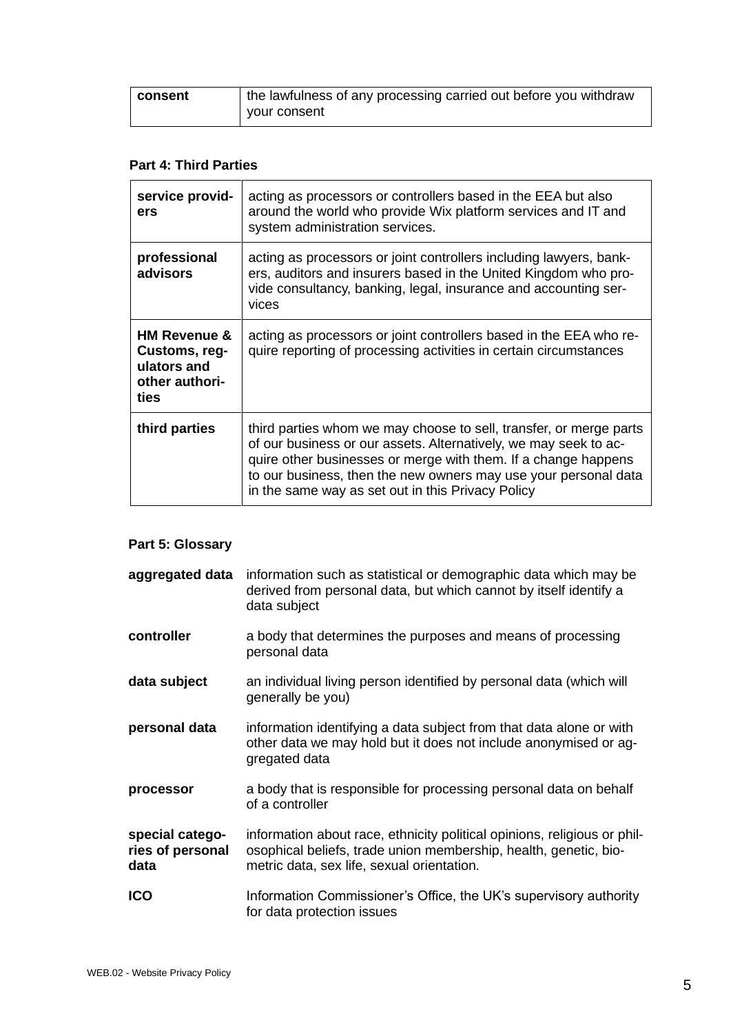| ∣ consent | I the lawfulness of any processing carried out before you withdraw |
|-----------|--------------------------------------------------------------------|
|           | vour consent                                                       |

# **Part 4: Third Parties**

| service provid-<br>ers                                                            | acting as processors or controllers based in the EEA but also<br>around the world who provide Wix platform services and IT and<br>system administration services.                                                                                                                                                                |
|-----------------------------------------------------------------------------------|----------------------------------------------------------------------------------------------------------------------------------------------------------------------------------------------------------------------------------------------------------------------------------------------------------------------------------|
| professional<br>advisors                                                          | acting as processors or joint controllers including lawyers, bank-<br>ers, auditors and insurers based in the United Kingdom who pro-<br>vide consultancy, banking, legal, insurance and accounting ser-<br>vices                                                                                                                |
| <b>HM Revenue &amp;</b><br>Customs, reg-<br>ulators and<br>other authori-<br>ties | acting as processors or joint controllers based in the EEA who re-<br>quire reporting of processing activities in certain circumstances                                                                                                                                                                                          |
| third parties                                                                     | third parties whom we may choose to sell, transfer, or merge parts<br>of our business or our assets. Alternatively, we may seek to ac-<br>quire other businesses or merge with them. If a change happens<br>to our business, then the new owners may use your personal data<br>in the same way as set out in this Privacy Policy |

# **Part 5: Glossary**

| aggregated data                             | information such as statistical or demographic data which may be<br>derived from personal data, but which cannot by itself identify a<br>data subject                                      |
|---------------------------------------------|--------------------------------------------------------------------------------------------------------------------------------------------------------------------------------------------|
| controller                                  | a body that determines the purposes and means of processing<br>personal data                                                                                                               |
| data subject                                | an individual living person identified by personal data (which will<br>generally be you)                                                                                                   |
| personal data                               | information identifying a data subject from that data alone or with<br>other data we may hold but it does not include anonymised or ag-<br>gregated data                                   |
| processor                                   | a body that is responsible for processing personal data on behalf<br>of a controller                                                                                                       |
| special catego-<br>ries of personal<br>data | information about race, ethnicity political opinions, religious or phil-<br>osophical beliefs, trade union membership, health, genetic, bio-<br>metric data, sex life, sexual orientation. |
| <b>ICO</b>                                  | Information Commissioner's Office, the UK's supervisory authority<br>for data protection issues                                                                                            |